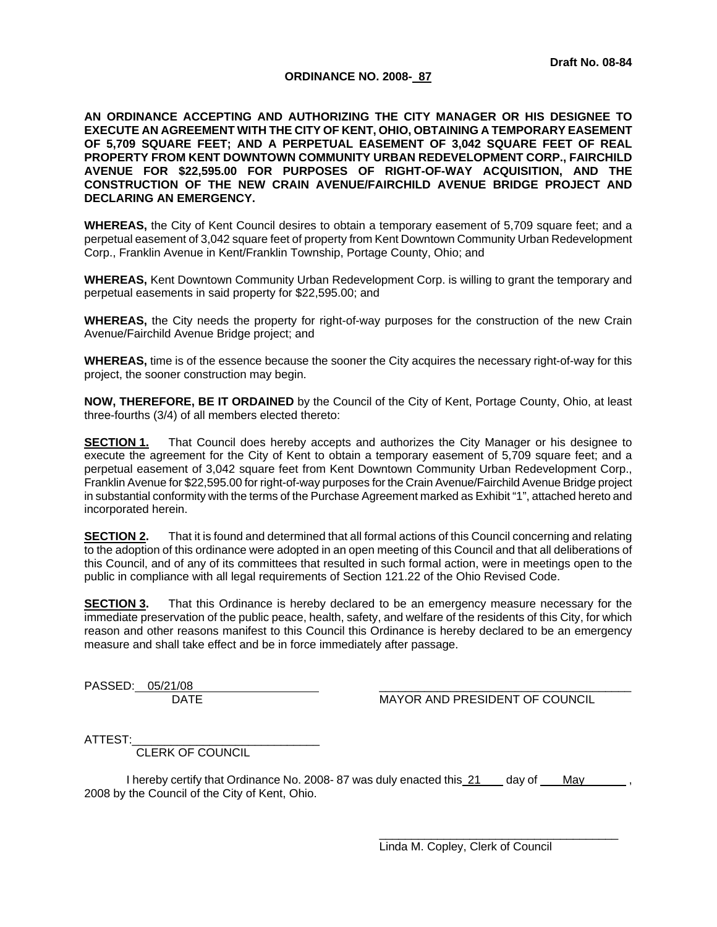### **ORDINANCE NO. 2008- 87**

**AN ORDINANCE ACCEPTING AND AUTHORIZING THE CITY MANAGER OR HIS DESIGNEE TO EXECUTE AN AGREEMENT WITH THE CITY OF KENT, OHIO, OBTAINING A TEMPORARY EASEMENT OF 5,709 SQUARE FEET; AND A PERPETUAL EASEMENT OF 3,042 SQUARE FEET OF REAL PROPERTY FROM KENT DOWNTOWN COMMUNITY URBAN REDEVELOPMENT CORP., FAIRCHILD AVENUE FOR \$22,595.00 FOR PURPOSES OF RIGHT-OF-WAY ACQUISITION, AND THE CONSTRUCTION OF THE NEW CRAIN AVENUE/FAIRCHILD AVENUE BRIDGE PROJECT AND DECLARING AN EMERGENCY.** 

**WHEREAS,** the City of Kent Council desires to obtain a temporary easement of 5,709 square feet; and a perpetual easement of 3,042 square feet of property from Kent Downtown Community Urban Redevelopment Corp., Franklin Avenue in Kent/Franklin Township, Portage County, Ohio; and

**WHEREAS,** Kent Downtown Community Urban Redevelopment Corp. is willing to grant the temporary and perpetual easements in said property for \$22,595.00; and

**WHEREAS,** the City needs the property for right-of-way purposes for the construction of the new Crain Avenue/Fairchild Avenue Bridge project; and

**WHEREAS,** time is of the essence because the sooner the City acquires the necessary right-of-way for this project, the sooner construction may begin.

**NOW, THEREFORE, BE IT ORDAINED** by the Council of the City of Kent, Portage County, Ohio, at least three-fourths (3/4) of all members elected thereto:

**SECTION 1.** That Council does hereby accepts and authorizes the City Manager or his designee to execute the agreement for the City of Kent to obtain a temporary easement of 5,709 square feet; and a perpetual easement of 3,042 square feet from Kent Downtown Community Urban Redevelopment Corp., Franklin Avenue for \$22,595.00 for right-of-way purposes for the Crain Avenue/Fairchild Avenue Bridge project in substantial conformity with the terms of the Purchase Agreement marked as Exhibit "1", attached hereto and incorporated herein.

**SECTION 2.** That it is found and determined that all formal actions of this Council concerning and relating to the adoption of this ordinance were adopted in an open meeting of this Council and that all deliberations of this Council, and of any of its committees that resulted in such formal action, were in meetings open to the public in compliance with all legal requirements of Section 121.22 of the Ohio Revised Code.

**SECTION 3.** That this Ordinance is hereby declared to be an emergency measure necessary for the immediate preservation of the public peace, health, safety, and welfare of the residents of this City, for which reason and other reasons manifest to this Council this Ordinance is hereby declared to be an emergency measure and shall take effect and be in force immediately after passage.

PASSED: 05/21/08

DATE MAYOR AND PRESIDENT OF COUNCIL

ATTEST:

CLERK OF COUNCIL

I hereby certify that Ordinance No. 2008-87 was duly enacted this 21 day of May 2008 by the Council of the City of Kent, Ohio.

> $\overline{\phantom{a}}$  ,  $\overline{\phantom{a}}$  ,  $\overline{\phantom{a}}$  ,  $\overline{\phantom{a}}$  ,  $\overline{\phantom{a}}$  ,  $\overline{\phantom{a}}$  ,  $\overline{\phantom{a}}$  ,  $\overline{\phantom{a}}$  ,  $\overline{\phantom{a}}$  ,  $\overline{\phantom{a}}$  ,  $\overline{\phantom{a}}$  ,  $\overline{\phantom{a}}$  ,  $\overline{\phantom{a}}$  ,  $\overline{\phantom{a}}$  ,  $\overline{\phantom{a}}$  ,  $\overline{\phantom{a}}$ Linda M. Copley, Clerk of Council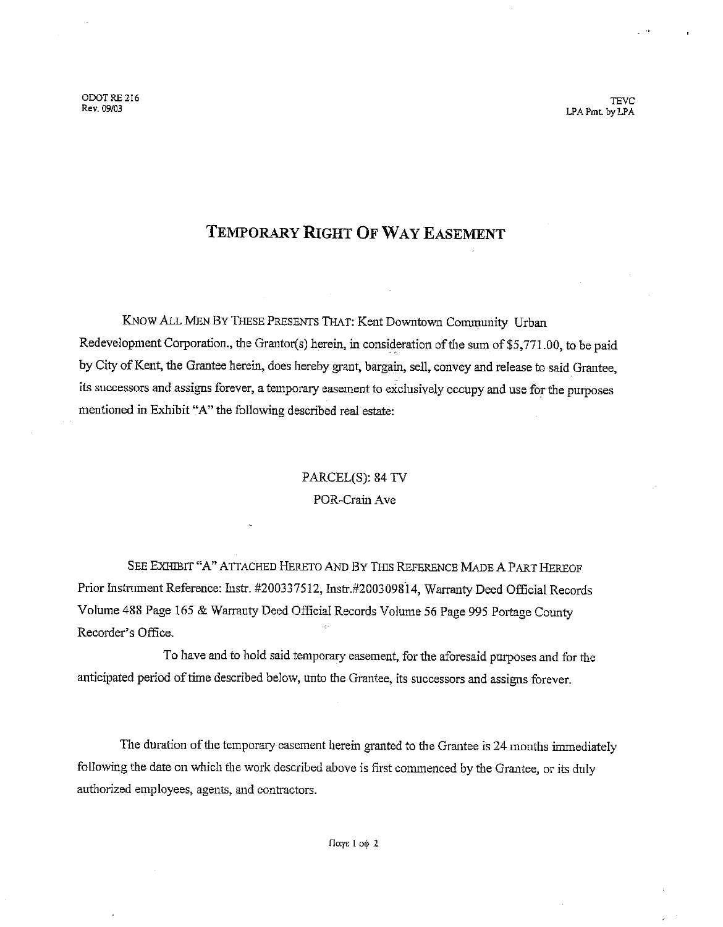ODOT RE 216 Rev. 09/03

**TEVC** LPA Pmt, by LPA

# TEMPORARY RIGHT OF WAY EASEMENT

KNOW ALL MEN BY THESE PRESENTS THAT: Kent Downtown Community Urban Redevelopment Corporation., the Grantor(s) herein, in consideration of the sum of \$5,771.00, to be paid by City of Kent, the Grantee herein, does hereby grant, bargain, sell, convey and release to said Grantee, its successors and assigns forever, a temporary easement to exclusively occupy and use for the purposes mentioned in Exhibit "A" the following described real estate:

# PARCEL(S): 84 TV POR-Crain Ave

SEE EXHIBIT "A" ATTACHED HERETO AND BY THIS REFERENCE MADE A PART HEREOF Prior Instrument Reference: Instr. #200337512, Instr.#200309814, Warranty Deed Official Records Volume 488 Page 165 & Warrauty Deed Official Records Volume 56 Page 995 Portage County Recorder's Office.

To have and to hold said temporary easement, for the aforesaid purposes and for the anticipated period of time described below, unto the Grantee, its successors and assigns forever.

The duration of the temporary easement herein granted to the Grantee is 24 months immediately following the date on which the work described above is first commenced by the Grantee, or its duly authorized employees, agents, and contractors.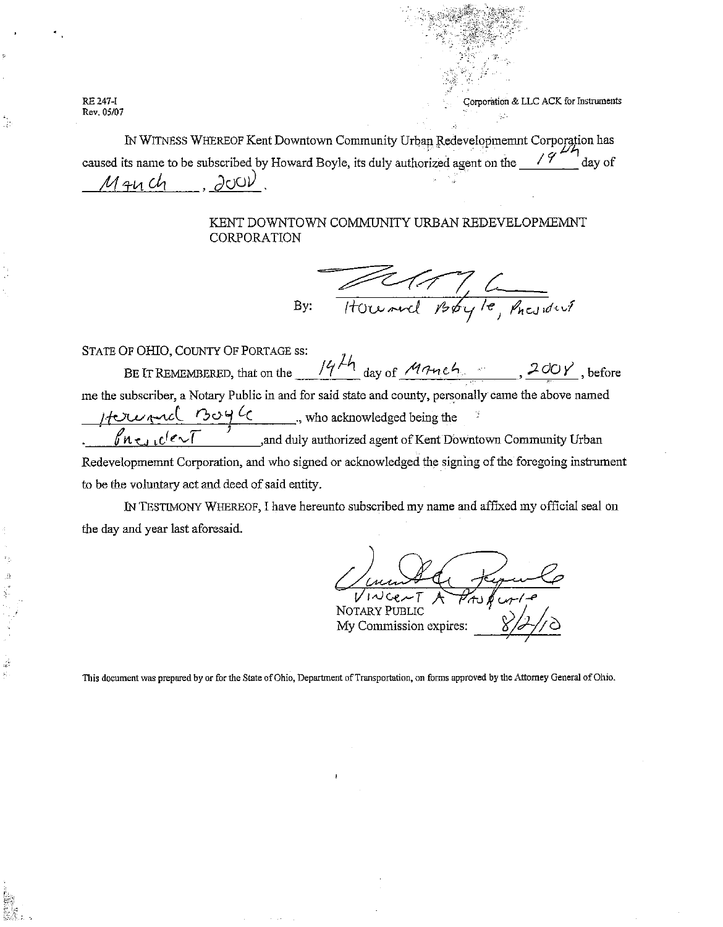RE 247-I Rev. 05/07

á

Corporation & LLC ACK for Instruments

IN WITNESS WHEREOF Kent Downtown Community Urban Redevelopmemnt Corporation has caused its name to be subscribed by Howard Boyle, its duly authorized agent on the  $\frac{19}{4}$  day of  $\partial$ oo $\nu$  $M$  and

## KENT DOWNTOWN COMMUNITY URBAN REDEVELOPMEMNT CORPORATION

Howard Boyle, Pacificil By:

STATE OF OHIO, COUNTY OF PORTAGE ss: BE IT REMEMBERED, that on the  $\frac{14\pi}{4}$  day of  $\frac{M\pi n e h_s}{200 \gamma}$ , before me the subscriber, a Notary Public in and for said state and county, personally came the above named  $\frac{1}{2}$ <br> $\frac{1}{2}$   $\frac{1}{2}$   $\frac{1}{2}$   $\frac{1}{2}$   $\frac{1}{2}$   $\frac{1}{2}$   $\frac{1}{2}$   $\frac{1}{2}$  and duly authorized agent of Kent Downtown Community Urban Redevelopmemnt Corporation, and who signed or acknowledged the signing of the foregoing instrument to be the voluntary act and deed of said entity.

IN TESTIMONY WHEREOF, I have hereunto subscribed my name and affixed my official seal on the day and year last aforesaid.

**NOTARY PUBLIC** My Commission expires:

This document was prepared by or for the State of Ohio, Department of Transportation, on forms approved by the Attorney General of Ohio.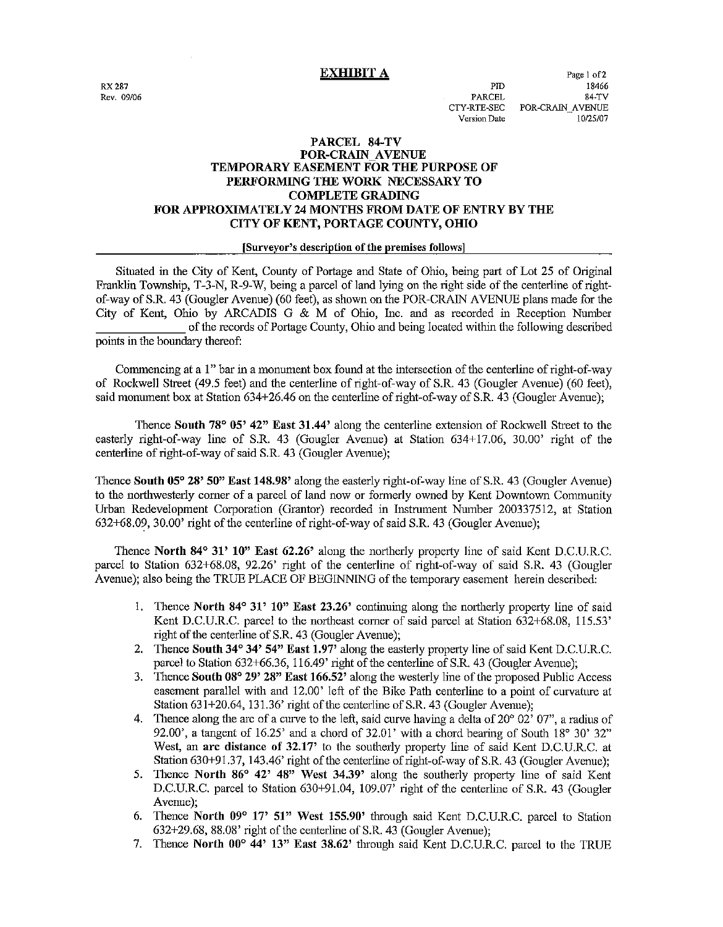**EXHIBIT A** 

**RX 287** Rev. 09/06

PID **PARCEL** CTY-RTE-SEC **Version Date** 

Page 1 of 2 18466 84-TV POR-CRAIN AVENUE 10/25/07

### PARCEL 84-TV **POR-CRAIN AVENUE** TEMPORARY EASEMENT FOR THE PURPOSE OF PERFORMING THE WORK NECESSARY TO **COMPLETE GRADING** FOR APPROXIMATELY 24 MONTHS FROM DATE OF ENTRY BY THE CITY OF KENT, PORTAGE COUNTY, OHIO

#### [Surveyor's description of the premises follows]

Situated in the City of Kent, County of Portage and State of Ohio, being part of Lot 25 of Original Franklin Township, T-3-N, R-9-W, being a parcel of land lying on the right side of the centerline of rightof-way of S.R. 43 (Gougler Avenue) (60 feet), as shown on the POR-CRAIN AVENUE plans made for the City of Kent, Ohio by ARCADIS G & M of Ohio, Inc. and as recorded in Reception Number of the records of Portage County, Ohio and being located within the following described points in the boundary thereof:

Commencing at a 1" bar in a monument box found at the intersection of the centerline of right-of-way of Rockwell Street (49.5 feet) and the centerline of right-of-way of S.R. 43 (Gougler Ayenue) (60 feet). said monument box at Station 634+26.46 on the centerline of right-of-way of S.R. 43 (Gougler Avenue);

Thence South 78° 05' 42" East 31.44' along the centerline extension of Rockwell Street to the easterly right-of-way line of S.R. 43 (Gougler Avenue) at Station 634+17.06, 30.00' right of the centerline of right-of-way of said S.R. 43 (Gougler Avenue);

Thence South 05° 28' 50" East 148.98' along the easterly right-of-way line of S.R. 43 (Gougler Avenue) to the northwesterly corner of a parcel of land now or formerly owned by Kent Downtown Community Urban Redevelopment Corporation (Grantor) recorded in Instrument Number 200337512, at Station 632+68.09, 30.00' right of the centerline of right-of-way of said S.R. 43 (Gougler Avenue);

Thence North 84° 31' 10" East 62.26' along the northerly property line of said Kent D.C.U.R.C. parcel to Station 632+68.08, 92.26' right of the centerline of right-of-way of said S.R. 43 (Gougler Avenue); also being the TRUE PLACE OF BEGINNING of the temporary easement herein described:

- 1. Thence North 84° 31' 10" East 23.26' continuing along the northerly property line of said Kent D.C.U.R.C. parcel to the northeast corner of said parcel at Station 632+68.08, 115.53' right of the centerline of S.R. 43 (Gougler Avenue);
- 2. Thence South 34° 34' 54" East 1.97' along the easterly property line of said Kent D.C.U.R.C. parcel to Station 632+66.36, 116.49' right of the centerline of S.R. 43 (Gougler Avenue);
- 3. Thence South 08° 29' 28" East 166.52' along the westerly line of the proposed Public Access easement parallel with and 12.00' left of the Bike Path centerline to a point of curvature at Station 631+20.64, 131.36' right of the centerline of S.R. 43 (Gougler Avenue);
- 4. Thence along the arc of a curve to the left, said curve having a delta of  $20^{\circ} 02' 07''$ , a radius of 92.00, a tangent of 16.25 and a chord of 32.01 with a chord bearing of South 18° 30' 32" West, an arc distance of 32.17' to the southerly property line of said Kent D.C.U.R.C. at Station 630+91.37, 143.46' right of the centerline of right-of-way of S.R. 43 (Gougler Avenue);
- 5. Thence North 86° 42' 48" West 34.39' along the southerly property line of said Kent D.C.U.R.C. parcel to Station 630+91.04, 109.07' right of the centerline of S.R. 43 (Gougler Avenue):
- 6. Thence North 09° 17' 51" West 155.90' through said Kent D.C.U.R.C. parcel to Station 632+29.68, 88.08' right of the centerline of S.R. 43 (Gougler Avenue);
- 7. Thence North 00° 44' 13" East 38.62' through said Kent D.C.U.R.C. parcel to the TRUE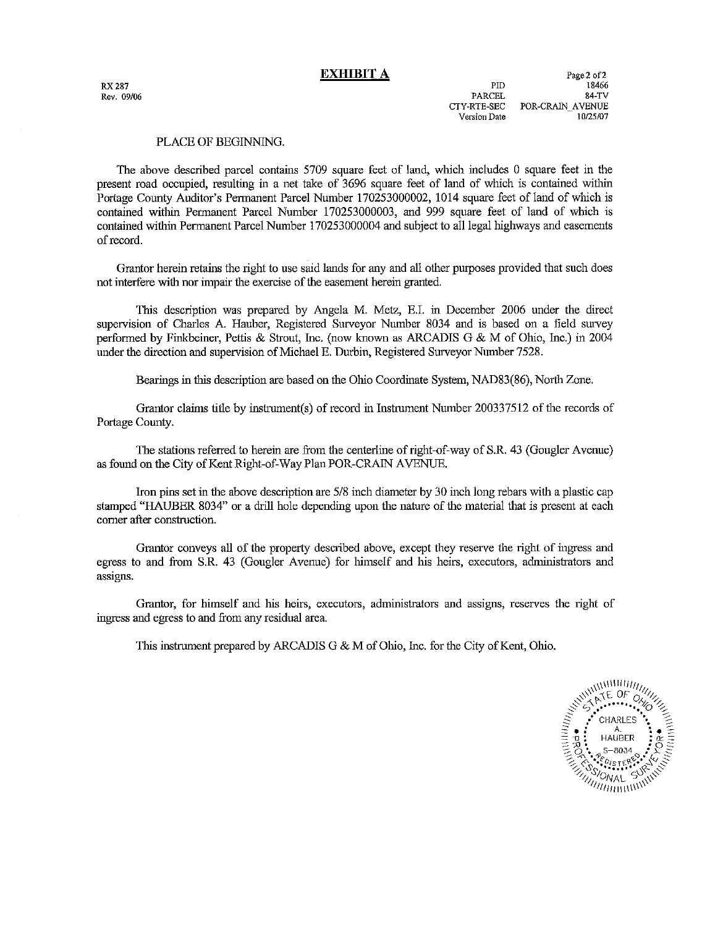**RX 287** Rev. 09/06

### PLACE OF BEGINNING.

The above described parcel contains 5709 square feet of land, which includes 0 square feet in the present road occupied, resulting in a net take of 3696 square feet of land of which is contained within Portage County Auditor's Permanent Parcel Number 170253000002, 1014 square feet of land of which is contained within Permanent Parcel Number 170253000003, and 999 square feet of land of which is contained within Permanent Parcel Number 170253000004 and subject to all legal highways and easements of record.

Grantor herein retains the right to use said lands for any and all other purposes provided that such does not interfere with nor impair the exercise of the easement herein granted.

This description was prepared by Angela M. Metz, E.I. in December 2006 under the direct supervision of Charles A. Hauber, Registered Surveyor Number 8034 and is based on a field survey performed by Finkbeiner, Pettis & Strout, Inc. (now known as ARCADIS G & M of Ohio, Inc.) in 2004 under the direction and supervision of Michael E. Durbin, Registered Surveyor Number 7528.

Bearings in this description are based on the Ohio Coordinate System, NAD83(86), North Zone.

Grantor claims title by instrument(s) of record in Instrument Number 200337512 of the records of Portage County.

The stations referred to herein are from the centerline of right-of-way of S.R. 43 (Gougler Avenue) as found on the City of Kent Right-of-Way Plan POR-CRAIN AVENUE.

Iron pins set in the above description are 5/8 inch diameter by 30 inch long rebars with a plastic cap stamped "HAUBER 8034" or a drill hole depending upon the nature of the material that is present at each corner after construction.

Grantor conveys all of the property described above, except they reserve the right of ingress and egress to and from S.R. 43 (Gougler Ayenue) for himself and his heirs, executors, administrators and assigns.

Grantor, for himself and his heirs, executors, administrators and assigns, reserves the right of ingress and egress to and from any residual area.

This instrument prepared by ARCADIS G & M of Ohio, Inc. for the City of Kent, Ohio.

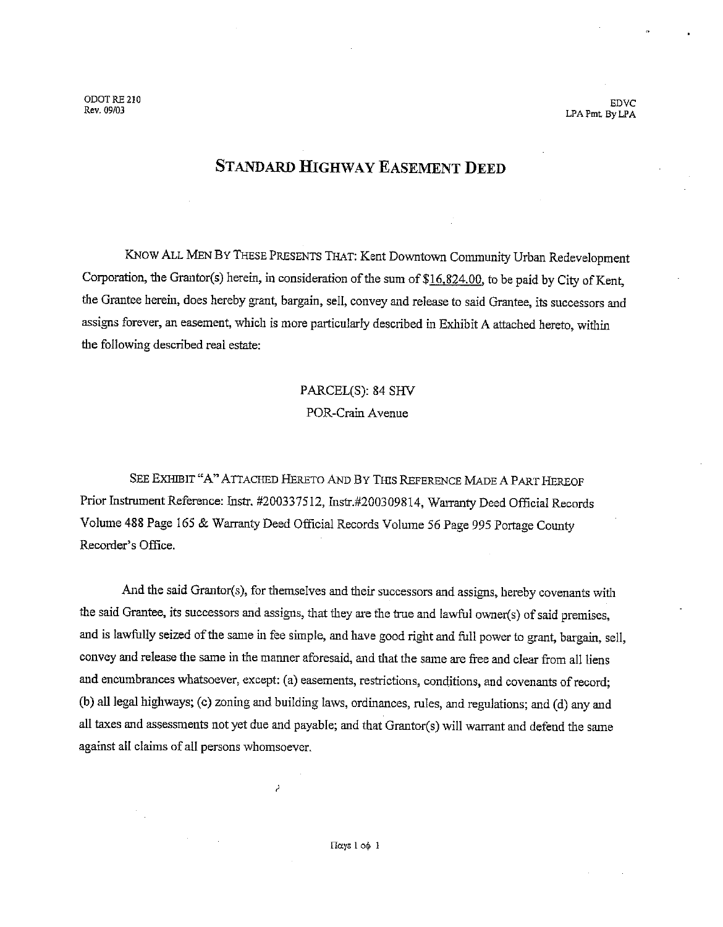ODOT RE 210 Rev. 09/03

**EDVC** LPA Pmt By LPA

# **STANDARD HIGHWAY EASEMENT DEED**

KNOW ALL MEN BY THESE PRESENTS THAT: Kent Downtown Community Urban Redevelopment Corporation, the Grantor(s) herein, in consideration of the sum of \$16,824.00, to be paid by City of Kent, the Grantee herein, does hereby grant, bargain, sell, convey and release to said Grantee, its successors and assigns forever, an easement, which is more particularly described in Exhibit A attached hereto, within the following described real estate:

> PARCEL(S): 84 SHV POR-Crain Avenue

SEE EXHIBIT "A" ATTACHED HERETO AND BY THIS REFERENCE MADE A PART HEREOF Prior Instrument Reference: Instr. #200337512, Instr.#200309814, Warranty Deed Official Records Volume 488 Page 165 & Warranty Deed Official Records Volume 56 Page 995 Portage County Recorder's Office.

And the said Grantor(s), for themselves and their successors and assigns, hereby covenants with the said Grantee, its successors and assigns, that they are the true and lawful owner(s) of said premises, and is lawfully seized of the same in fee simple, and have good right and full power to grant, bargain, sell, convey and release the same in the manner aforesaid, and that the same are free and clear from all liens and encumbrances whatsoever, except: (a) easements, restrictions, conditions, and covenants of record; (b) all legal highways; (c) zoning and building laws, ordinances, rules, and regulations; and (d) any and all taxes and assessments not yet due and payable; and that Grantor(s) will warrant and defend the same against all claims of all persons whomsoever.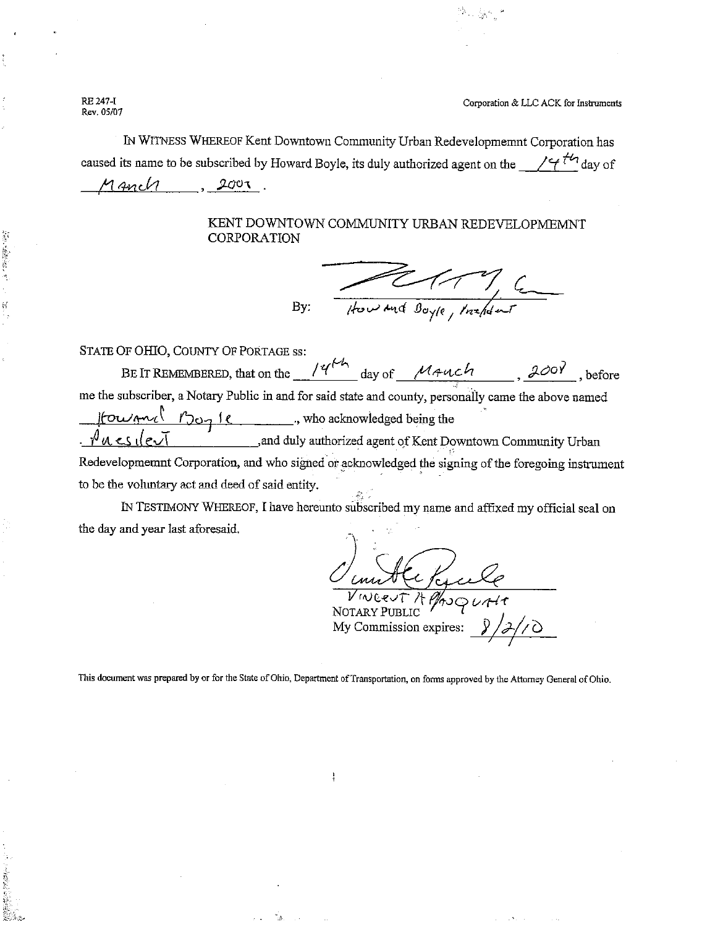RE 247-I Rev. 05/07

前半 長崎

Corporation & LLC ACK for Instruments

IN WITNESS WHEREOF Kent Downtown Community Urban Redevelopmemnt Corporation has caused its name to be subscribed by Howard Boyle, its duly authorized agent on the  $\frac{1}{4}$  day of Manch  $2007$ 

## KENT DOWNTOWN COMMUNITY URBAN REDEVELOPMEMNT CORPORATION

Howard Boyle, Installant By:

STATE OF OHIO, COUNTY OF PORTAGE ss: BE IT REMEMBERED, that on the  $\frac{14^{h}}{h}$  day of  $\frac{M4ul}{h}$ ,  $\frac{200Y}{h}$ , before me the subscriber, a Notary Public in and for said state and county, personally came the above named  $\lvert \text{for } m_1 \rvert$   $\lvert m_2 \rvert$   $\lvert \text{for } m_1 \rvert$ , who acknowledged being the and duly authorized agent of Kent Downtown Community Urban  $.$  Pues devi Redevelopmemnt Corporation, and who signed or acknowledged the signing of the foregoing instrument

to be the voluntary act and deed of said entity.

IN TESTIMONY WHEREOF, I have hereunto subscribed my name and affixed my official seal on the day and year last aforesaid.

NOTARY PUBLIC My Commission expires:

This document was prepared by or for the State of Ohio, Department of Transportation, on forms approved by the Attorney General of Ohio.

ţ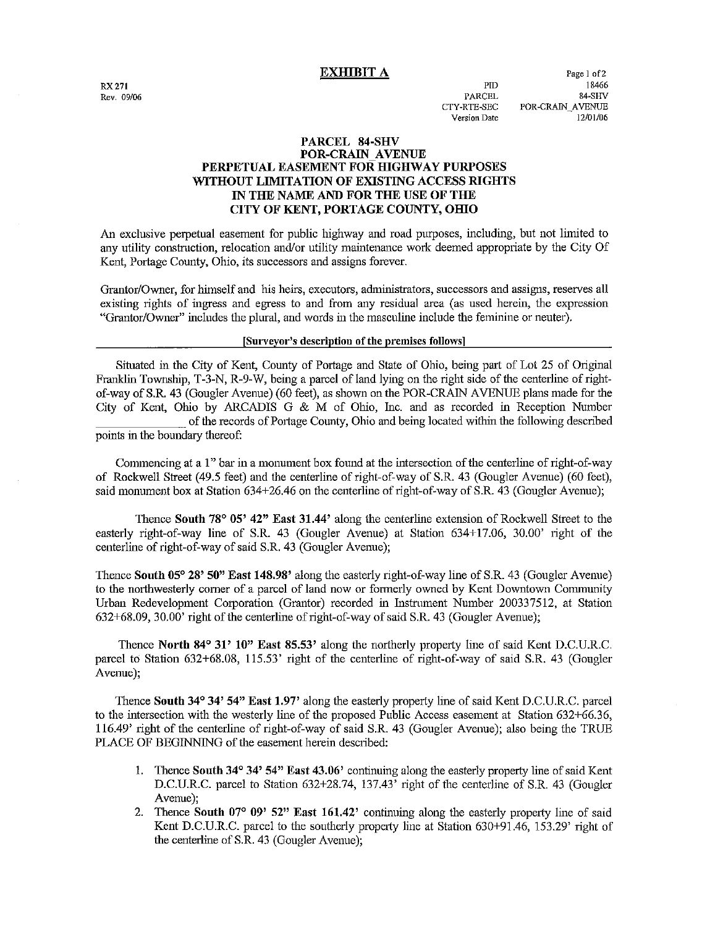#### **EXHIBIT A**

**RX 271** Rev. 09/06

**PITY** PARCEL CTY-RTE-SEC Version Date

Page 1 of 2 18466 84-SHV POR-CRAIN AVENUE 12/01/06

### PARCEL 84-SHV **POR-CRAIN AVENUE** PERPETUAL EASEMENT FOR HIGHWAY PURPOSES WITHOUT LIMITATION OF EXISTING ACCESS RIGHTS IN THE NAME AND FOR THE USE OF THE CITY OF KENT, PORTAGE COUNTY, OHIO

An exclusive perpetual easement for public highway and road purposes, including, but not limited to any utility construction, relocation and/or utility maintenance work deemed appropriate by the City Of Kent, Portage County, Ohio, its successors and assigns forever.

Grantor/Owner, for himself and his heirs, executors, administrators, successors and assigns, reserves all existing rights of ingress and egress to and from any residual area (as used herein, the expression "Grantor/Owner" includes the plural, and words in the masculine include the feminine or neuter).

#### [Surveyor's description of the premises follows]

Situated in the City of Kent, County of Portage and State of Ohio, being part of Lot 25 of Original Franklin Township, T-3-N, R-9-W, being a parcel of land lying on the right side of the centerline of rightof-way of S.R. 43 (Gougler Ayenue) (60 feet), as shown on the POR-CRAIN AVENUE plans made for the City of Kent, Ohio by ARCADIS G & M of Ohio, Inc. and as recorded in Reception Number of the records of Portage County. Ohio and being located within the following described points in the boundary thereof:

Commencing at a 1" bar in a monument box found at the intersection of the centerline of right-of-way of Rockwell Street (49.5 feet) and the centerline of right-of-way of S.R. 43 (Gougler Avenue) (60 feet), said monument box at Station 634+26.46 on the centerline of right-of-way of S.R. 43 (Gougler Avenue);

Thence South 78° 05' 42" East 31.44' along the centerline extension of Rockwell Street to the easterly right-of-way line of S.R. 43 (Gougler Avenue) at Station 634+17.06, 30.00' right of the centerline of right-of-way of said S.R. 43 (Gougler Avenue);

Thence South 05° 28' 50" East 148.98' along the easterly right-of-way line of S.R. 43 (Gougler Avenue) to the northwesterly corner of a parcel of land now or formerly owned by Kent Downtown Community Urban Redevelopment Corporation (Grantor) recorded in Instrument Number 200337512, at Station 632+68.09, 30.00' right of the centerline of right-of-way of said S.R. 43 (Gougler Avenue);

Thence North 84° 31' 10" East 85.53' along the northerly property line of said Kent D.C.U.R.C. parcel to Station 632+68.08, 115.53' right of the centerline of right-of-way of said S.R. 43 (Gougler Avenue);

Thence South 34° 34' 54" East 1.97' along the easterly property line of said Kent D.C.U.R.C. parcel to the intersection with the westerly line of the proposed Public Access easement at Station 632+66.36, 116.49' right of the centerline of right-of-way of said S.R. 43 (Gougler Avenue); also being the TRUE PLACE OF BEGINNING of the easement herein described:

- 1. Thence South 34° 34' 54" East 43.06' continuing along the easterly property line of said Kent D.C.U.R.C. parcel to Station 632+28.74, 137.43' right of the centerline of S.R. 43 (Gougler Avenue):
- 2. Thence South 07° 09' 52" East 161.42' continuing along the easterly property line of said Kent D.C.U.R.C. parcel to the southerly property line at Station 630+91.46, 153.29' right of the centerline of S.R. 43 (Gougler Avenue);